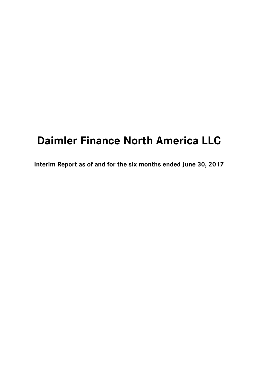# **Daimler Finance North America LLC**

**Interim Report as of and for the six months ended June 30, 2017**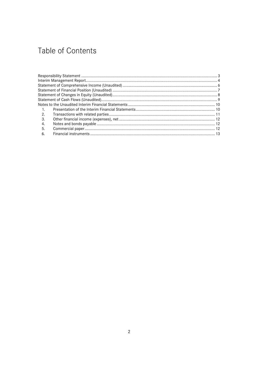## Table of Contents

| $\overline{1}$ . |  |
|------------------|--|
| 2.               |  |
| -3.              |  |
| 4.               |  |
| - 5.             |  |
| -6.              |  |
|                  |  |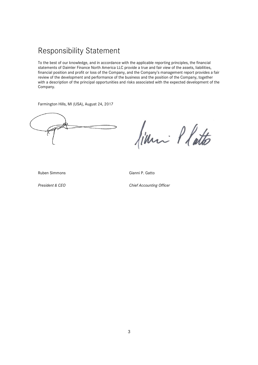### Responsibility Statement

To the best of our knowledge, and in accordance with the applicable reporting principles, the financial statements of Daimler Finance North America LLC provide a true and fair view of the assets, liabilities, financial position and profit or loss of the Company, and the Company's management report provides a fair review of the development and performance of the business and the position of the Company, together with a description of the principal opportunities and risks associated with the expected development of the Company.

Farmington Hills, MI (USA), August 24, 2017

finn: Platto

Ruben Simmons Gianni P. Gatto

**President & CEO** Chief Accounting Officer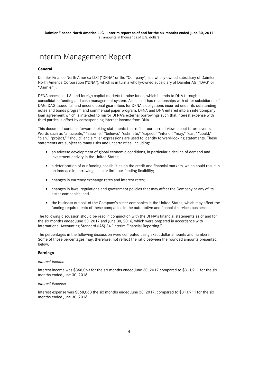### Interim Management Report

#### **General**

Daimler Finance North America LLC ("DFNA" or the "Company") is a wholly-owned subsidiary of Daimler North America Corporation ("DNA"), which is in turn a wholly-owned subsidiary of Daimler AG ("DAG" or "Daimler").

DFNA accesses U.S. and foreign capital markets to raise funds, which it lends to DNA through a consolidated funding and cash management system. As such, it has relationships with other subsidiaries of DAG. DAG issued full and unconditional guarantees for DFNA's obligations incurred under its outstanding notes and bonds program and commercial paper program. DFNA and DNA entered into an intercompany loan agreement which is intended to mirror DFNA's external borrowings such that interest expense with third parties is offset by corresponding interest income from DNA.

This document contains forward looking statements that reflect our current views about future events. Words such as "anticipate," "assume," "believe," "estimate," "expect," "intend," "may," "can," "could," "plan," "project," "should" and similar expressions are used to identify forward-looking statements. These statements are subject to many risks and uncertainties, including:

- an adverse development of global economic conditions, in particular a decline of demand and investment activity in the United States;
- a deterioration of our funding possibilities on the credit and financial markets, which could result in an increase in borrowing costs or limit our funding flexibility;
- changes in currency exchange rates and interest rates;
- changes in laws, regulations and government policies that may affect the Company or any of its sister companies; and
- the business outlook of the Company's sister companies in the United States, which may affect the funding requirements of these companies in the automotive and financial services businesses.

The following discussion should be read in conjunction with the DFNA's financial statements as of and for the six months ended June 30, 2017 and June 30, 2016, which were prepared in accordance with International Accounting Standard (IAS) 34 "Interim Financial Reporting."

The percentages in the following discussion were computed using exact dollar amounts and numbers. Some of those percentages may, therefore, not reflect the ratio between the rounded amounts presented below.

#### **Earnings**

#### *Interest Income*

Interest income was \$368,063 for the six months ended June 30, 2017 compared to \$311,911 for the six months ended June 30, 2016.

#### *Interest Expense*

Interest expense was \$368,063 the six months ended June 30, 2017, compared to \$311,911 for the six months ended June 30, 2016.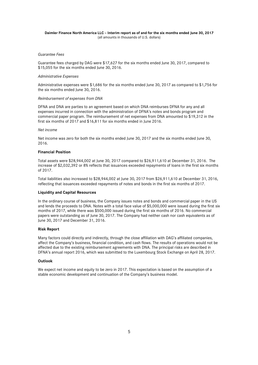#### **Daimler Finance North America LLC – Interim report as of and for the six months ended June 30, 2017**  (all amounts in thousands of U.S. dollars)

#### *Guarantee Fees*

Guarantee fees charged by DAG were \$17,627 for the six months ended June 30, 2017, compared to \$15,055 for the six months ended June 30, 2016.

#### *Administrative Expenses*

Administrative expenses were \$1,686 for the six months ended June 30, 2017 as compared to \$1,756 for the six months ended June 30, 2016.

#### *Reimbursement of expenses from DNA*

DFNA and DNA are parties to an agreement based on which DNA reimburses DFNA for any and all expenses incurred in connection with the administration of DFNA's notes and bonds program and commercial paper program. The reimbursement of net expenses from DNA amounted to \$19,312 in the first six months of 2017 and \$16,811 for six months ended in June 2016.

#### *Net income*

Net income was zero for both the six months ended June 30, 2017 and the six months ended June 30, 2016.

#### **Financial Position**

Total assets were \$28,944,002 at June 30, 2017 compared to \$26,911,610 at December 31, 2016. The increase of \$2,032,392 or 8% reflects that issuances exceeded repayments of loans in the first six months of 2017.

Total liabilities also increased to \$28,944,002 at June 30, 2017 from \$26,911,610 at December 31, 2016, reflecting that issuances exceeded repayments of notes and bonds in the first six months of 2017.

#### **Liquidity and Capital Resources**

In the ordinary course of business, the Company issues notes and bonds and commercial paper in the US and lends the proceeds to DNA. Notes with a total face value of \$5,000,000 were issued during the first six months of 2017, while there was \$500,000 issued during the first six months of 2016. No commercial papers were outstanding as of June 30, 2017. The Company had neither cash nor cash equivalents as of June 30, 2017 and December 31, 2016.

#### **Risk Report**

Many factors could directly and indirectly, through the close affiliation with DAG's affiliated companies, affect the Company's business, financial condition, and cash flows. The results of operations would not be affected due to the existing reimbursement agreements with DNA. The principal risks are described in DFNA's annual report 2016, which was submitted to the Luxembourg Stock Exchange on April 28, 2017.

#### **Outlook**

We expect net income and equity to be zero in 2017. This expectation is based on the assumption of a stable economic development and continuation of the Company's business model.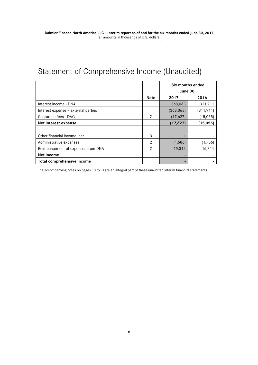## Statement of Comprehensive Income (Unaudited)

|                                     |             | Six months ended<br><b>June 30,</b> |            |  |
|-------------------------------------|-------------|-------------------------------------|------------|--|
|                                     | <b>Note</b> | 2017                                | 2016       |  |
| Interest income - DNA               |             | 368,063                             | 311,911    |  |
| Interest expense - external parties |             | (368, 063)                          | (311, 911) |  |
| Guarantee fees - DAG                | 2           | (15,055)<br>(17, 627)               |            |  |
| Net interest expense                |             | (17, 627)                           | (15,055)   |  |
|                                     |             |                                     |            |  |
| Other financial income, net         | 3           |                                     |            |  |
| Administrative expenses             | 2           | (1,686)                             | (1,756)    |  |
| Reimbursement of expenses from DNA  | 2           | 16,811<br>19,312                    |            |  |
| Net income                          |             |                                     |            |  |
| Total comprehensive income          |             |                                     |            |  |

The accompanying notes on pages 10 to13 are an integral part of these unaudited interim financial statements.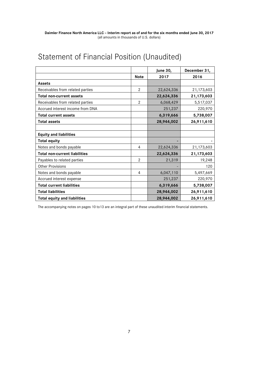## Statement of Financial Position (Unaudited)

|                                      |                | <b>June 30,</b> | December 31, |
|--------------------------------------|----------------|-----------------|--------------|
|                                      | <b>Note</b>    | 2017            | 2016         |
| <b>Assets</b>                        |                |                 |              |
| Receivables from related parties     | $\overline{2}$ | 22,624,336      | 21,173,603   |
| <b>Total non-current assets</b>      |                | 22,624,336      | 21,173,603   |
| Receivables from related parties     | $\overline{2}$ | 6,068,429       | 5,517,037    |
| Accrued interest income from DNA     |                | 251,237         | 220,970      |
| <b>Total current assets</b>          |                | 6,319,666       | 5,738,007    |
| <b>Total assets</b>                  |                | 28,944,002      | 26,911,610   |
|                                      |                |                 |              |
| <b>Equity and liabilities</b>        |                |                 |              |
| <b>Total equity</b>                  |                |                 |              |
| Notes and bonds payable              | 4              | 22,624,336      | 21,173,603   |
| <b>Total non-current liabilities</b> |                | 22,624,336      | 21,173,603   |
| Payables to related parties          | $\overline{2}$ | 21,319          | 19,248       |
| <b>Other Provisions</b>              |                |                 | 120          |
| Notes and bonds payable              | 4              | 6,047,110       | 5,497,669    |
| Accrued interest expense             |                | 251,237         | 220,970      |
| <b>Total current liabilities</b>     |                | 6,319,666       | 5,738,007    |
| <b>Total liabilities</b>             |                | 28,944,002      | 26,911,610   |
| <b>Total equity and liabilities</b>  |                | 28,944,002      | 26,911,610   |

The accompanying notes on pages 10 to13 are an integral part of these unaudited interim financial statements.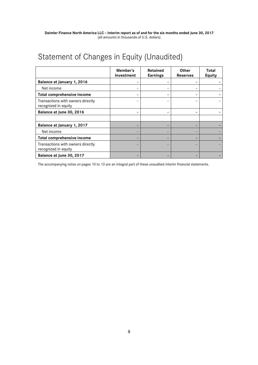## Statement of Changes in Equity (Unaudited)

|                                                           | Member's<br>Investment | Retained<br><b>Earnings</b> | Other<br><b>Reserves</b> | Total<br><b>Equity</b> |
|-----------------------------------------------------------|------------------------|-----------------------------|--------------------------|------------------------|
| Balance at January 1, 2016                                |                        |                             |                          |                        |
| Net income                                                |                        |                             |                          |                        |
| Total comprehensive income                                |                        |                             |                          |                        |
| Transactions with owners directly<br>recognized in equity |                        |                             |                          |                        |
| Balance at June 30, 2016                                  |                        |                             |                          |                        |
|                                                           |                        |                             |                          |                        |
| Balance at January 1, 2017                                |                        |                             |                          |                        |
| Net income                                                |                        |                             |                          |                        |
| Total comprehensive income                                |                        |                             |                          |                        |
| Transactions with owners directly<br>recognized in equity |                        |                             |                          |                        |
| Balance at June 30, 2017                                  |                        |                             |                          |                        |

The accompanying notes on pages 10 to 13 are an integral part of these unaudited interim financial statements.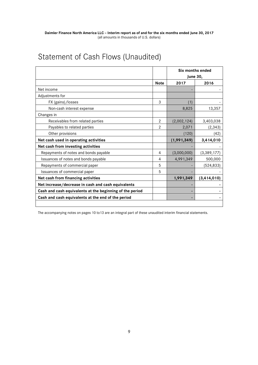## Statement of Cash Flows (Unaudited)

|                                                          |                | Six months ended<br><b>June 30,</b> |               |  |
|----------------------------------------------------------|----------------|-------------------------------------|---------------|--|
|                                                          | <b>Note</b>    | 2016<br>2017                        |               |  |
| Net income                                               |                |                                     |               |  |
| Adjustments for                                          |                |                                     |               |  |
| FX (gains)/losses                                        | 3              | (1)                                 |               |  |
| Non-cash interest expense                                |                | 8,825                               | 13,357        |  |
| Changes in                                               |                |                                     |               |  |
| Receivables from related parties                         | 2              | (2,002,124)                         | 3,403,038     |  |
| Payables to related parties                              | $\overline{2}$ |                                     | (2, 343)      |  |
| Other provisions                                         |                | (120)                               | (42)          |  |
| Net cash used in operating activities                    |                | (1,991,349)                         | 3,414,010     |  |
| Net cash from investing activities                       |                |                                     |               |  |
| Repayments of notes and bonds payable                    | 4              | (3,000,000)                         | (3, 389, 177) |  |
| Issuances of notes and bonds payable                     | 4              | 4,991,349                           | 500,000       |  |
| Repayments of commercial paper                           | 5              |                                     | (524,833)     |  |
| Issuances of commercial paper                            | 5              |                                     |               |  |
| Net cash from financing activities                       |                | 1,991,349                           | (3, 414, 010) |  |
| Net increase/decrease in cash and cash equivalents       |                |                                     |               |  |
| Cash and cash equivalents at the beginning of the period |                | ٠                                   |               |  |
| Cash and cash equivalents at the end of the period       |                |                                     |               |  |
|                                                          |                |                                     |               |  |

The accompanying notes on pages 10 to13 are an integral part of these unaudited interim financial statements.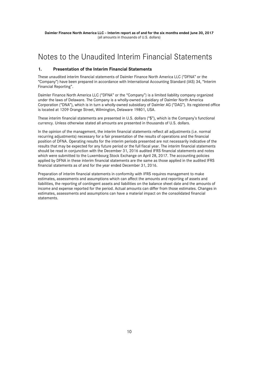### Notes to the Unaudited Interim Financial Statements

#### **1. Presentation of the Interim Financial Statements**

These unaudited interim financial statements of Daimler Finance North America LLC ("DFNA" or the "Company") have been prepared in accordance with International Accounting Standard (IAS) 34, "Interim Financial Reporting".

Daimler Finance North America LLC ("DFNA" or the "Company") is a limited liability company organized under the laws of Delaware. The Company is a wholly-owned subsidiary of Daimler North America Corporation ("DNA"), which is in turn a wholly-owned subsidiary of Daimler AG ("DAG"). Its registered office is located at 1209 Orange Street, Wilmington, Delaware 19801, USA.

These interim financial statements are presented in U.S. dollars ("\$"), which is the Company's functional currency. Unless otherwise stated all amounts are presented in thousands of U.S. dollars.

In the opinion of the management, the interim financial statements reflect all adjustments (i.e. normal recurring adjustments) necessary for a fair presentation of the results of operations and the financial position of DFNA. Operating results for the interim periods presented are not necessarily indicative of the results that may be expected for any future period or the full fiscal year. The interim financial statements should be read in conjunction with the December 31, 2016 audited IFRS financial statements and notes which were submitted to the Luxembourg Stock Exchange on April 28, 2017. The accounting policies applied by DFNA in these interim financial statements are the same as those applied in the audited IFRS financial statements as of and for the year ended December 31, 2016.

Preparation of interim financial statements in conformity with IFRS requires management to make estimates, assessments and assumptions which can affect the amounts and reporting of assets and liabilities, the reporting of contingent assets and liabilities on the balance sheet date and the amounts of income and expense reported for the period. Actual amounts can differ from those estimates. Changes in estimates, assessments and assumptions can have a material impact on the consolidated financial statements.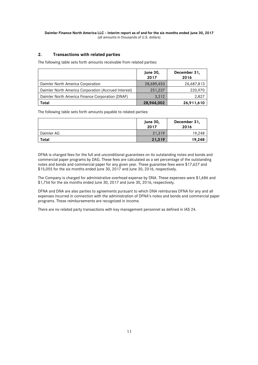#### **2. Transactions with related parties**

The following table sets forth amounts receivable from related parties:

|                                                      | <b>June 30,</b><br>2017 | December 31,<br>2016 |
|------------------------------------------------------|-------------------------|----------------------|
| Daimler North America Corporation                    | 28,689,453              | 26,687,813           |
| Daimler North America Corporation (Accrued Interest) | 251,237                 | 220,970              |
| Daimler North America Finance Corporation (DNAF)     | 3,312                   | 2,827                |
| Total                                                | 28,944,002              | 26,911,610           |

The following table sets forth amounts payable to related parties:

|              | <b>June 30,</b><br>2017 | December 31,<br>2016 |
|--------------|-------------------------|----------------------|
| Daimler AG   | 21,319                  | 19,248               |
| <b>Total</b> | 21,319                  | 19,248               |

DFNA is charged fees for the full and unconditional guarantees on its outstanding notes and bonds and commercial paper programs by DAG. These fees are calculated as a set percentage of the outstanding notes and bonds and commercial paper for any given year. These guarantee fees were \$17,627 and \$15,055 for the six months ended June 30, 2017 and June 30, 2016, respectively.

The Company is charged for administrative overhead expense by DNA. These expenses were \$1,686 and \$1,756 for the six months ended June 30, 2017 and June 30, 2016, respectively.

DFNA and DNA are also parties to agreements pursuant to which DNA reimburses DFNA for any and all expenses incurred in connection with the administration of DFNA's notes and bonds and commercial paper programs. These reimbursements are recognized in income.

There are no related party transactions with key management personnel as defined in IAS 24.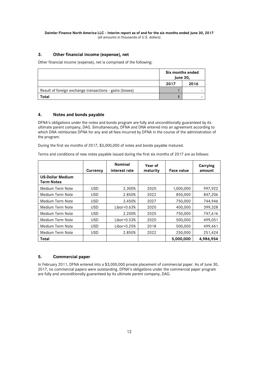#### **3. Other financial income (expense), net**

Other financial income (expense), net is comprised of the following:

|                                                          | Six months ended<br><b>June 30,</b> |      |
|----------------------------------------------------------|-------------------------------------|------|
|                                                          | 2017                                | 2016 |
| Result of foreign exchange transactions - gains (losses) |                                     |      |
| ⊺otal                                                    |                                     |      |

#### **4. Notes and bonds payable**

DFNA's obligations under the notes and bonds program are fully and unconditionally guaranteed by its ultimate parent company, DAG. Simultaneously, DFNA and DNA entered into an agreement according to which DNA reimburses DFNA for any and all fees incurred by DFNA in the course of the administration of the program.

During the first six months of 2017, \$3,000,000 of notes and bonds payable matured.

Terms and conditions of new notes payable issued during the first six months of 2017 are as follows:

|                                              | Currency   | <b>Nominal</b><br>interest rate | Year of<br>maturity | Face value | Carrying<br>amount |
|----------------------------------------------|------------|---------------------------------|---------------------|------------|--------------------|
| <b>US-Dollar Medium</b><br><b>Term Notes</b> |            |                                 |                     |            |                    |
| Medium Term Note                             | <b>USD</b> | 2.300%                          | 2020                | 1,000,000  | 997,922            |
| Medium Term Note                             | <b>USD</b> | 2.850%                          | 2022                | 850,000    | 847,206            |
| Medium Term Note                             | <b>USD</b> | 3.450%                          | 2027                | 750,000    | 744.946            |
| Medium Term Note                             | <b>USD</b> | $Libor+0.63%$                   | 2020                | 400,000    | 399,328            |
| Medium Term Note                             | <b>USD</b> | 2.200%                          | 2020                | 750,000    | 747,616            |
| Medium Term Note                             | <b>USD</b> | $Libor+0.53%$                   | 2020                | 500,000    | 499,051            |
| Medium Term Note                             | <b>USD</b> | $Libor+0.25%$                   | 2018                | 500,000    | 499,461            |
| Medium Term Note                             | <b>USD</b> | 2.850%                          | 2022                | 250,000    | 251,424            |
| Total                                        |            |                                 |                     | 5,000,000  | 4,986,954          |

#### **5. Commercial paper**

In February 2011, DFNA entered into a \$3,000,000 private placement of commercial paper. As of June 30, 2017, no commercial papers were outstanding. DFNA's obligations under the commercial paper program are fully and unconditionally guaranteed by its ultimate parent company, DAG.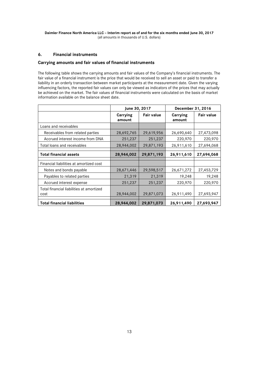**Daimler Finance North America LLC – Interim report as of and for the six months ended June 30, 2017**  (all amounts in thousands of U.S. dollars)

#### **6. Financial instruments**

#### **Carrying amounts and fair values of financial instruments**

The following table shows the carrying amounts and fair values of the Company's financial instruments. The fair value of a financial instrument is the price that would be received to sell an asset or paid to transfer a liability in an orderly transaction between market participants at the measurement date. Given the varying influencing factors, the reported fair values can only be viewed as indicators of the prices that may actually be achieved on the market. The fair values of financial instruments were calculated on the basis of market information available on the balance sheet date.

|                                                  | June 30, 2017      |                   | December 31, 2016  |                   |
|--------------------------------------------------|--------------------|-------------------|--------------------|-------------------|
|                                                  | Carrying<br>amount | <b>Fair value</b> | Carrying<br>amount | <b>Fair value</b> |
| Loans and receivables                            |                    |                   |                    |                   |
| Receivables from related parties                 | 28,692,765         | 29,619,956        | 26,690,640         | 27,473,098        |
| Accrued interest income from DNA                 | 251,237            | 251,237           | 220,970            | 220,970           |
| Total loans and receivables                      | 28,944,002         | 29,871,193        | 26,911,610         | 27,694,068        |
| <b>Total financial assets</b>                    | 28,944,002         | 29,871,193        | 26,911,610         | 27,694,068        |
| Financial liabilities at amortized cost          |                    |                   |                    |                   |
| Notes and bonds payable                          | 28,671,446         | 29,598,517        | 26,671,272         | 27,453,729        |
| Payables to related parties                      | 21,319             | 21,319            | 19,248             | 19,248            |
| Accrued interest expense                         | 251,237            | 251,237           | 220,970            | 220,970           |
| Total financial liabilities at amortized<br>cost | 28,944,002         | 29,871,073        | 26,911,490         | 27,693,947        |
| <b>Total financial liabilities</b>               | 28,944,002         | 29,871,073        | 26,911,490         | 27,693,947        |